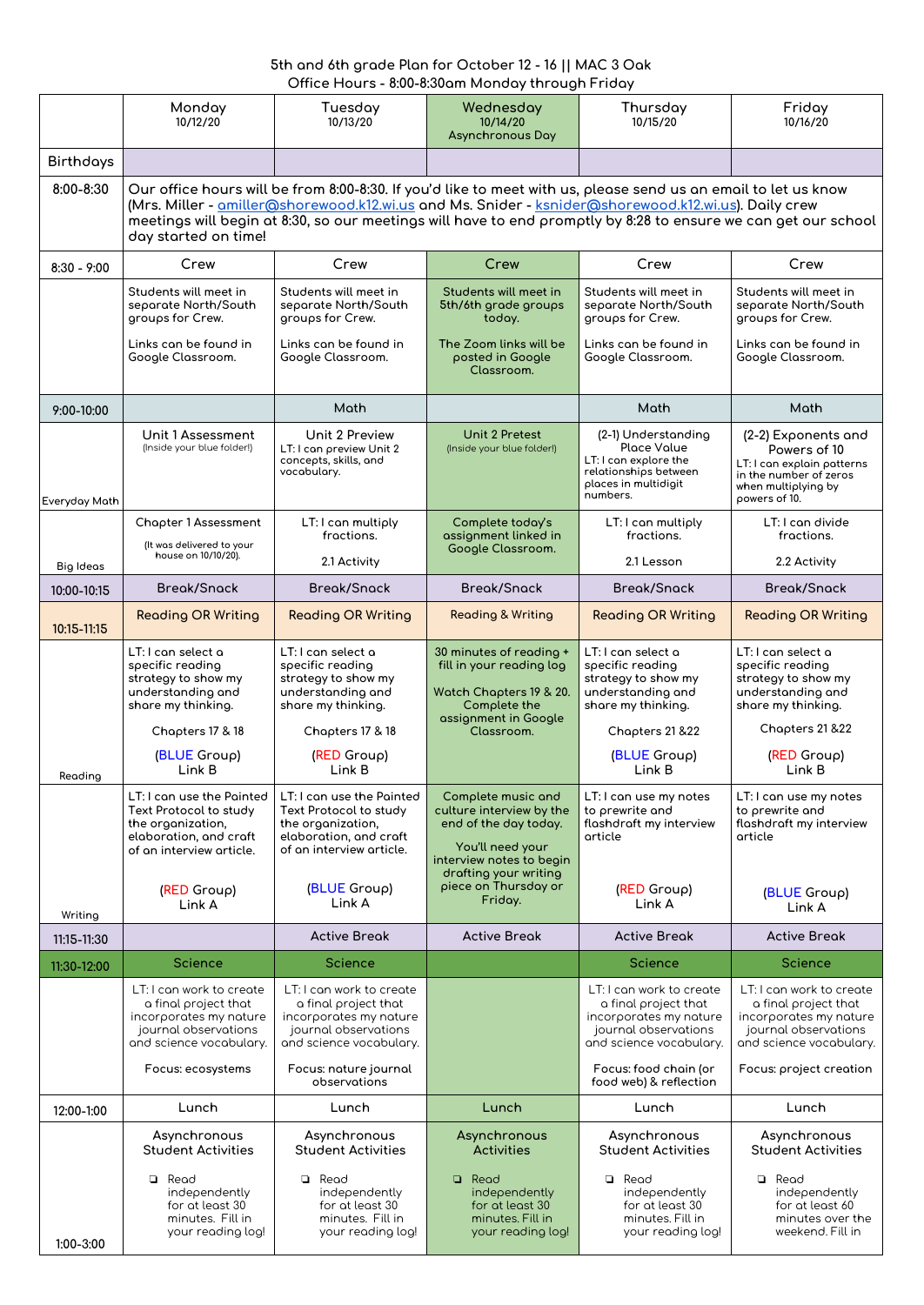## **5th and 6th grade Plan for October 12 - 16 || MAC 3 Oak Office Hours - 8:00-8:30am Monday through Friday**

|                  | Monday<br>10/12/20                                                                                                                                                                                                                                                                                                                                               | Tuesday<br>10/13/20                                                                                                                                      | Wednesday<br>10/14/20<br><b>Asynchronous Day</b>                                                                                                                                    | Thursday<br>10/15/20                                                                                                            | Friday<br>10/16/20                                                                                                                  |  |
|------------------|------------------------------------------------------------------------------------------------------------------------------------------------------------------------------------------------------------------------------------------------------------------------------------------------------------------------------------------------------------------|----------------------------------------------------------------------------------------------------------------------------------------------------------|-------------------------------------------------------------------------------------------------------------------------------------------------------------------------------------|---------------------------------------------------------------------------------------------------------------------------------|-------------------------------------------------------------------------------------------------------------------------------------|--|
| <b>Birthdays</b> |                                                                                                                                                                                                                                                                                                                                                                  |                                                                                                                                                          |                                                                                                                                                                                     |                                                                                                                                 |                                                                                                                                     |  |
| 8:00-8:30        | Our office hours will be from 8:00-8:30. If you'd like to meet with us, please send us an email to let us know<br>(Mrs. Miller - amiller@shorewood.k12.wi.us and Ms. Snider - ksnider@shorewood.k12.wi.us). Daily crew<br>meetings will begin at 8:30, so our meetings will have to end promptly by 8:28 to ensure we can get our school<br>day started on time! |                                                                                                                                                          |                                                                                                                                                                                     |                                                                                                                                 |                                                                                                                                     |  |
| $8:30 - 9:00$    | Crew                                                                                                                                                                                                                                                                                                                                                             | Crew                                                                                                                                                     | Crew                                                                                                                                                                                | Crew                                                                                                                            | Crew                                                                                                                                |  |
|                  | Students will meet in<br>separate North/South<br>groups for Crew.                                                                                                                                                                                                                                                                                                | Students will meet in<br>separate North/South<br>groups for Crew.                                                                                        | Students will meet in<br>5th/6th grade groups<br>today.                                                                                                                             | Students will meet in<br>separate North/South<br>groups for Crew.                                                               | Students will meet in<br>separate North/South<br>groups for Crew.                                                                   |  |
|                  | Links can be found in<br>Google Classroom.                                                                                                                                                                                                                                                                                                                       | Links can be found in<br>Google Classroom.                                                                                                               | The Zoom links will be<br>posted in Google<br>Classroom.                                                                                                                            | Links can be found in<br>Google Classroom.                                                                                      | Links can be found in<br>Google Classroom.                                                                                          |  |
| 9:00-10:00       |                                                                                                                                                                                                                                                                                                                                                                  | Math                                                                                                                                                     |                                                                                                                                                                                     | Math                                                                                                                            | Math                                                                                                                                |  |
| Everyday Math    | Unit 1 Assessment<br>(Inside your blue folder!)                                                                                                                                                                                                                                                                                                                  | <b>Unit 2 Preview</b><br>LT: I can preview Unit 2<br>concepts, skills, and<br>vocabulary.                                                                | <b>Unit 2 Pretest</b><br>(Inside your blue folder!)                                                                                                                                 | (2-1) Understanding<br><b>Place Value</b><br>LT: I can explore the<br>relationships between<br>places in multidigit<br>numbers. | (2-2) Exponents and<br>Powers of 10<br>LT: I can explain patterns<br>in the number of zeros<br>when multiplying by<br>powers of 10. |  |
|                  | <b>Chapter 1 Assessment</b><br>(It was delivered to your                                                                                                                                                                                                                                                                                                         | LT: I can multiply<br>fractions.                                                                                                                         | Complete today's<br>assignment linked in<br>Google Classroom.                                                                                                                       | LT: I can multiply<br>fractions.                                                                                                | LT: I can divide<br>fractions.                                                                                                      |  |
| <b>Big Ideas</b> | house on 10/10/20).                                                                                                                                                                                                                                                                                                                                              | 2.1 Activity                                                                                                                                             |                                                                                                                                                                                     | 2.1 Lesson                                                                                                                      | 2.2 Activity                                                                                                                        |  |
| 10:00-10:15      | <b>Break/Snack</b>                                                                                                                                                                                                                                                                                                                                               | <b>Break/Snack</b>                                                                                                                                       | <b>Break/Snack</b>                                                                                                                                                                  | <b>Break/Snack</b>                                                                                                              | <b>Break/Snack</b>                                                                                                                  |  |
| 10:15-11:15      | <b>Reading OR Writing</b>                                                                                                                                                                                                                                                                                                                                        | <b>Reading OR Writing</b>                                                                                                                                | <b>Reading &amp; Writing</b>                                                                                                                                                        | <b>Reading OR Writing</b>                                                                                                       | <b>Reading OR Writing</b>                                                                                                           |  |
|                  | LT: I can select a<br>specific reading<br>strategy to show my<br>understanding and<br>share my thinking.<br>Chapters 17 & 18                                                                                                                                                                                                                                     | LT: I can select a<br>specific reading<br>strategy to show my<br>understanding and<br>share my thinking.<br>Chapters 17 & 18                             | 30 minutes of reading +<br>fill in your reading log<br>Watch Chapters 19 & 20.<br>Complete the<br>assignment in Google<br>Classroom.                                                | LT: I can select a<br>specific reading<br>strategy to show my<br>understanding and<br>share my thinking.<br>Chapters 21 & 22    | LT: I can select a<br>specific reading<br>strategy to show my<br>understanding and<br>share my thinking.<br>Chapters 21 & 22        |  |
| Reading          | (BLUE Group)<br>Link B                                                                                                                                                                                                                                                                                                                                           | (RED Group)<br>Link B                                                                                                                                    |                                                                                                                                                                                     | (BLUE Group)<br>Link B                                                                                                          | (RED Group)<br>Link B                                                                                                               |  |
| Writing          | LT: I can use the Painted<br>Text Protocol to study<br>the organization,<br>elaboration, and craft<br>of an interview article.<br>(RED Group)<br>Link A                                                                                                                                                                                                          | LT: I can use the Painted<br>Text Protocol to study<br>the organization,<br>elaboration, and craft<br>of an interview article.<br>(BLUE Group)<br>Link A | Complete music and<br>culture interview by the<br>end of the day today.<br>You'll need your<br>interview notes to begin<br>drafting your writing<br>piece on Thursday or<br>Friday. | LT: I can use my notes<br>to prewrite and<br>flashdraft my interview<br>article<br>(RED Group)<br>Link A                        | LT: I can use my notes<br>to prewrite and<br>flashdraft my interview<br>article<br>(BLUE Group)<br>Link A                           |  |
| 11:15-11:30      |                                                                                                                                                                                                                                                                                                                                                                  | <b>Active Break</b>                                                                                                                                      | <b>Active Break</b>                                                                                                                                                                 | <b>Active Break</b>                                                                                                             | <b>Active Break</b>                                                                                                                 |  |
| 11:30-12:00      | <b>Science</b>                                                                                                                                                                                                                                                                                                                                                   | <b>Science</b>                                                                                                                                           |                                                                                                                                                                                     | <b>Science</b>                                                                                                                  | <b>Science</b>                                                                                                                      |  |
|                  | LT: I can work to create<br>a final project that<br>incorporates my nature<br>journal observations<br>and science vocabulary.                                                                                                                                                                                                                                    | LT: I can work to create<br>a final project that<br>incorporates my nature<br>journal observations<br>and science vocabulary.                            |                                                                                                                                                                                     | LT: I can work to create<br>a final project that<br>incorporates my nature<br>journal observations<br>and science vocabulary.   | LT: I can work to create<br>a final project that<br>incorporates my nature<br>journal observations<br>and science vocabulary.       |  |
|                  | Focus: ecosystems                                                                                                                                                                                                                                                                                                                                                | Focus: nature journal<br>observations                                                                                                                    |                                                                                                                                                                                     | Focus: food chain (or<br>food web) & reflection                                                                                 | Focus: project creation                                                                                                             |  |
| 12:00-1:00       | Lunch                                                                                                                                                                                                                                                                                                                                                            | Lunch                                                                                                                                                    | Lunch                                                                                                                                                                               | Lunch                                                                                                                           | Lunch                                                                                                                               |  |
|                  | Asynchronous<br><b>Student Activities</b>                                                                                                                                                                                                                                                                                                                        | Asynchronous<br><b>Student Activities</b>                                                                                                                | Asynchronous<br><b>Activities</b>                                                                                                                                                   | Asynchronous<br><b>Student Activities</b>                                                                                       | Asynchronous<br><b>Student Activities</b>                                                                                           |  |
| 1:00-3:00        | Read<br>$\Box$<br>independently<br>for at least 30<br>minutes. Fill in<br>your reading log!                                                                                                                                                                                                                                                                      | Read<br>$\Box$<br>independently<br>for at least 30<br>minutes. Fill in<br>your reading log!                                                              | $\Box$<br>Read<br>independently<br>for at least 30<br>minutes. Fill in<br>your reading log!                                                                                         | Read<br>$\Box$<br>independently<br>for at least 30<br>minutes. Fill in<br>your reading log!                                     | ❏<br>Read<br>independently<br>for at least 60<br>minutes over the<br>weekend. Fill in                                               |  |